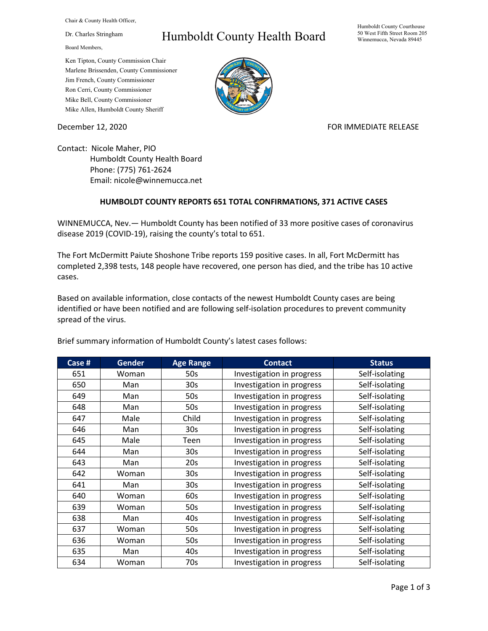Chair & County Health Officer,

Dr. Charles Stringham

Board Members,

## Humboldt County Health Board

Humboldt County Courthouse 50 West Fifth Street Room 205 Winnemucca, Nevada 89445

Ken Tipton, County Commission Chair Marlene Brissenden, County Commissioner Jim French, County Commissioner Ron Cerri, County Commissioner Mike Bell, County Commissioner Mike Allen, Humboldt County Sheriff

December 12, 2020 **FOR IMMEDIATE RELEASE** 

Contact: Nicole Maher, PIO Humboldt County Health Board Phone: (775) 761-2624 Email: nicole@winnemucca.net

## **HUMBOLDT COUNTY REPORTS 651 TOTAL CONFIRMATIONS, 371 ACTIVE CASES**

WINNEMUCCA, Nev.— Humboldt County has been notified of 33 more positive cases of coronavirus disease 2019 (COVID-19), raising the county's total to 651.

The Fort McDermitt Paiute Shoshone Tribe reports 159 positive cases. In all, Fort McDermitt has completed 2,398 tests, 148 people have recovered, one person has died, and the tribe has 10 active cases.

Based on available information, close contacts of the newest Humboldt County cases are being identified or have been notified and are following self-isolation procedures to prevent community spread of the virus.

| Case # | <b>Gender</b> | <b>Age Range</b> | <b>Contact</b>            | <b>Status</b>  |
|--------|---------------|------------------|---------------------------|----------------|
| 651    | Woman         | 50s              | Investigation in progress | Self-isolating |
| 650    | Man           | 30 <sub>s</sub>  | Investigation in progress | Self-isolating |
| 649    | Man           | 50s              | Investigation in progress | Self-isolating |
| 648    | Man           | 50s              | Investigation in progress | Self-isolating |
| 647    | Male          | Child            | Investigation in progress | Self-isolating |
| 646    | Man           | 30 <sub>s</sub>  | Investigation in progress | Self-isolating |
| 645    | Male          | Teen             | Investigation in progress | Self-isolating |
| 644    | Man           | 30 <sub>s</sub>  | Investigation in progress | Self-isolating |
| 643    | Man           | 20s              | Investigation in progress | Self-isolating |
| 642    | Woman         | 30 <sub>s</sub>  | Investigation in progress | Self-isolating |
| 641    | Man           | 30 <sub>s</sub>  | Investigation in progress | Self-isolating |
| 640    | Woman         | 60s              | Investigation in progress | Self-isolating |
| 639    | Woman         | 50s              | Investigation in progress | Self-isolating |
| 638    | Man           | 40s              | Investigation in progress | Self-isolating |
| 637    | Woman         | 50s              | Investigation in progress | Self-isolating |
| 636    | Woman         | 50s              | Investigation in progress | Self-isolating |
| 635    | Man           | 40s              | Investigation in progress | Self-isolating |
| 634    | Woman         | 70s              | Investigation in progress | Self-isolating |

Brief summary information of Humboldt County's latest cases follows: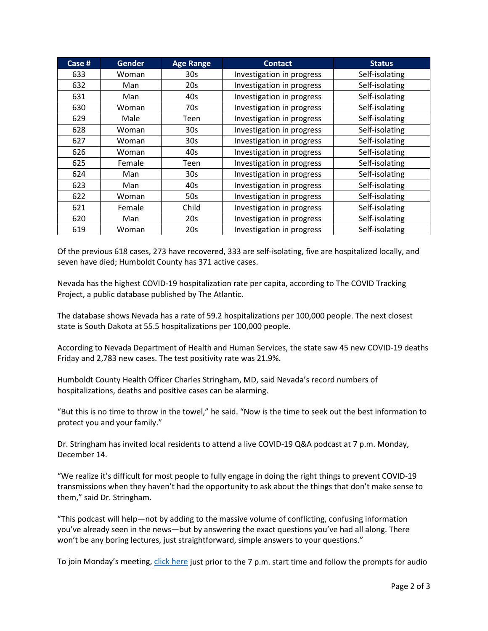| Case # | <b>Gender</b> | <b>Age Range</b> | <b>Contact</b>            | <b>Status</b>  |
|--------|---------------|------------------|---------------------------|----------------|
| 633    | Woman         | 30 <sub>s</sub>  | Investigation in progress | Self-isolating |
| 632    | Man           | 20s              | Investigation in progress | Self-isolating |
| 631    | Man           | 40s              | Investigation in progress | Self-isolating |
| 630    | Woman         | 70s              | Investigation in progress | Self-isolating |
| 629    | Male          | Teen             | Investigation in progress | Self-isolating |
| 628    | Woman         | 30 <sub>s</sub>  | Investigation in progress | Self-isolating |
| 627    | Woman         | 30 <sub>s</sub>  | Investigation in progress | Self-isolating |
| 626    | Woman         | 40s              | Investigation in progress | Self-isolating |
| 625    | Female        | Teen             | Investigation in progress | Self-isolating |
| 624    | Man           | 30 <sub>s</sub>  | Investigation in progress | Self-isolating |
| 623    | Man           | 40s              | Investigation in progress | Self-isolating |
| 622    | Woman         | 50s              | Investigation in progress | Self-isolating |
| 621    | Female        | Child            | Investigation in progress | Self-isolating |
| 620    | Man           | 20s              | Investigation in progress | Self-isolating |
| 619    | Woman         | 20s              | Investigation in progress | Self-isolating |

Of the previous 618 cases, 273 have recovered, 333 are self-isolating, five are hospitalized locally, and seven have died; Humboldt County has 371 active cases.

Nevada has the highest COVID-19 hospitalization rate per capita, according to The COVID Tracking Project, a public database published by The Atlantic.

The database shows Nevada has a rate of 59.2 hospitalizations per 100,000 people. The next closest state is South Dakota at 55.5 hospitalizations per 100,000 people.

According to Nevada Department of Health and Human Services, the state saw 45 new COVID-19 deaths Friday and 2,783 new cases. The test positivity rate was 21.9%.

Humboldt County Health Officer Charles Stringham, MD, said Nevada's record numbers of hospitalizations, deaths and positive cases can be alarming.

"But this is no time to throw in the towel," he said. "Now is the time to seek out the best information to protect you and your family."

Dr. Stringham has invited local residents to attend a live COVID-19 Q&A podcast at 7 p.m. Monday, December 14.

"We realize it's difficult for most people to fully engage in doing the right things to prevent COVID-19 transmissions when they haven't had the opportunity to ask about the things that don't make sense to them," said Dr. Stringham.

"This podcast will help—not by adding to the massive volume of conflicting, confusing information you've already seen in the news—but by answering the exact questions you've had all along. There won't be any boring lectures, just straightforward, simple answers to your questions."

To join Monday's meeting[, click here](https://teams.microsoft.com/l/meetup-join/19%3ameeting_N2NjZTk2NzYtNTM1Yy00NDBjLTgwMTItYTg0NDg2ZTlhODI0%40thread.v2/0?context=%7b%22Tid%22%3a%221f916fc9-42a5-4df4-aa73-a286ee089776%22%2c%22Oid%22%3a%221e10c4e8-675f-4494-97ed-4c4c4fd69453%22%7d) just prior to the 7 p.m. start time and follow the prompts for audio